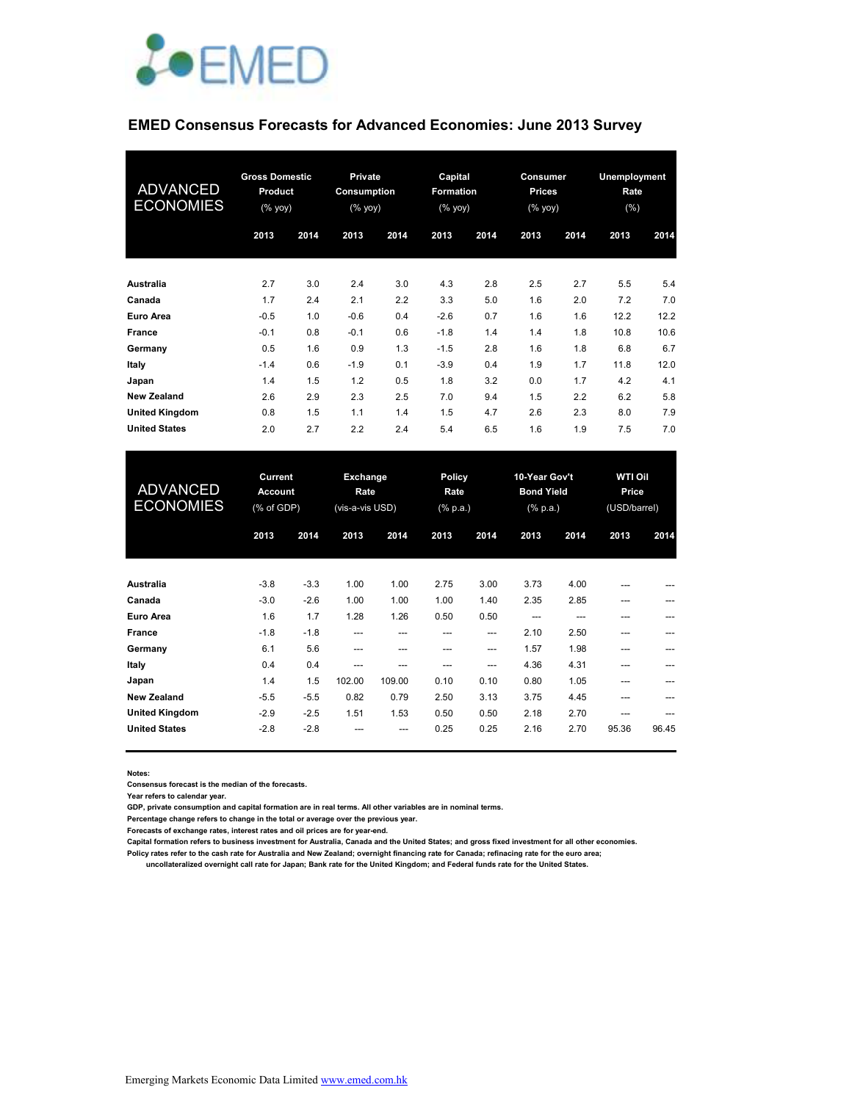

### **EMED Consensus Forecasts for Advanced Economies: June 2013 Survey**

| <b>ADVANCED</b><br><b>ECONOMIES</b> | <b>Gross Domestic</b><br>Product<br>$(% \mathsf{Y}^{\prime }\mathsf{Y}^{\prime }\mathsf{Y}^{\prime })$ |      | Private<br>Consumption<br>(% yoy) |      | Capital<br>Formation<br>(% yoy) |      | Consumer<br><b>Prices</b><br>(% yoy) |      | Unemployment<br>Rate<br>$(\% )$ |      |
|-------------------------------------|--------------------------------------------------------------------------------------------------------|------|-----------------------------------|------|---------------------------------|------|--------------------------------------|------|---------------------------------|------|
|                                     | 2013                                                                                                   | 2014 | 2013                              | 2014 | 2013                            | 2014 | 2013                                 | 2014 | 2013                            | 2014 |
| Australia                           | 2.7                                                                                                    | 3.0  | 2.4                               | 3.0  | 4.3                             | 2.8  | 2.5                                  | 2.7  | 5.5                             | 5.4  |
| Canada                              | 1.7                                                                                                    | 2.4  | 2.1                               | 2.2  | 3.3                             | 5.0  | 1.6                                  | 2.0  | 7.2                             | 7.0  |
| Euro Area                           | $-0.5$                                                                                                 | 1.0  | $-0.6$                            | 0.4  | $-2.6$                          | 0.7  | 1.6                                  | 1.6  | 12.2                            | 12.2 |
| <b>France</b>                       | $-0.1$                                                                                                 | 0.8  | $-0.1$                            | 0.6  | $-1.8$                          | 1.4  | 1.4                                  | 1.8  | 10.8                            | 10.6 |
| Germany                             | 0.5                                                                                                    | 1.6  | 0.9                               | 1.3  | $-1.5$                          | 2.8  | 1.6                                  | 1.8  | 6.8                             | 6.7  |
| Italy                               | $-1.4$                                                                                                 | 0.6  | $-1.9$                            | 0.1  | $-3.9$                          | 0.4  | 1.9                                  | 1.7  | 11.8                            | 12.0 |
| Japan                               | 1.4                                                                                                    | 1.5  | 1.2                               | 0.5  | 1.8                             | 3.2  | 0.0                                  | 1.7  | 4.2                             | 4.1  |
| <b>New Zealand</b>                  | 2.6                                                                                                    | 2.9  | 2.3                               | 2.5  | 7.0                             | 9.4  | 1.5                                  | 2.2  | 6.2                             | 5.8  |
| <b>United Kingdom</b>               | 0.8                                                                                                    | 1.5  | 1.1                               | 1.4  | 1.5                             | 4.7  | 2.6                                  | 2.3  | 8.0                             | 7.9  |
| <b>United States</b>                | 2.0                                                                                                    | 2.7  | 2.2                               | 2.4  | 5.4                             | 6.5  | 1.6                                  | 1.9  | 7.5                             | 7.0  |

| <b>ADVANCED</b><br><b>ECONOMIES</b> | Current<br><b>Account</b><br>(% of GDP) |        | Policy<br>Exchange<br>Rate<br>Rate<br>(vis-a-vis USD)<br>$(% \mathbb{R}^2)$ (% p.a.) |        | 10-Year Gov't<br><b>Bond Yield</b><br>$(% \mathbf{a})$ (% p.a.) |      | <b>WTI Oil</b><br>Price<br>(USD/barrel) |      |       |       |
|-------------------------------------|-----------------------------------------|--------|--------------------------------------------------------------------------------------|--------|-----------------------------------------------------------------|------|-----------------------------------------|------|-------|-------|
|                                     | 2013                                    | 2014   | 2013                                                                                 | 2014   | 2013                                                            | 2014 | 2013                                    | 2014 | 2013  | 2014  |
| Australia                           | $-3.8$                                  | $-3.3$ | 1.00                                                                                 | 1.00   | 2.75                                                            | 3.00 | 3.73                                    | 4.00 | ---   |       |
| Canada                              | $-3.0$                                  | $-2.6$ | 1.00                                                                                 | 1.00   | 1.00                                                            | 1.40 | 2.35                                    | 2.85 | $---$ | $---$ |
| <b>Euro Area</b>                    | 1.6                                     | 1.7    | 1.28                                                                                 | 1.26   | 0.50                                                            | 0.50 | ---                                     | ---  | ---   |       |
| France                              | $-1.8$                                  | $-1.8$ | ---                                                                                  | ---    | ---                                                             | ---  | 2.10                                    | 2.50 | ---   |       |
| Germany                             | 6.1                                     | 5.6    | ---                                                                                  | ---    | ---                                                             | ---  | 1.57                                    | 1.98 | ---   |       |
| Italy                               | 0.4                                     | 0.4    | ---                                                                                  | ---    | ---                                                             | ---  | 4.36                                    | 4.31 | ---   | ---   |
| Japan                               | 1.4                                     | 1.5    | 102.00                                                                               | 109.00 | 0.10                                                            | 0.10 | 0.80                                    | 1.05 | ---   |       |
| <b>New Zealand</b>                  | $-5.5$                                  | $-5.5$ | 0.82                                                                                 | 0.79   | 2.50                                                            | 3.13 | 3.75                                    | 4.45 | ---   |       |
| <b>United Kingdom</b>               | $-2.9$                                  | $-2.5$ | 1.51                                                                                 | 1.53   | 0.50                                                            | 0.50 | 2.18                                    | 2.70 | $---$ | $---$ |
| <b>United States</b>                | $-2.8$                                  | $-2.8$ | ---                                                                                  | ---    | 0.25                                                            | 0.25 | 2.16                                    | 2.70 | 95.36 | 96.45 |

**Notes:** 

**Consensus forecast is the median of the forecasts.**

**Year refers to calendar year.**

**GDP, private consumption and capital formation are in real terms. All other variables are in nominal terms.**

**Percentage change refers to change in the total or average over the previous year.**

**Forecasts of exchange rates, interest rates and oil prices are for year-end.**

**Capital formation refers to business investment for Australia, Canada and the United States; and gross fixed investment for all other economies.**

**Policy rates refer to the cash rate for Australia and New Zealand; overnight financing rate for Canada; refinacing rate for the euro area;** 

 **uncollateralized overnight call rate for Japan; Bank rate for the United Kingdom; and Federal funds rate for the United States.**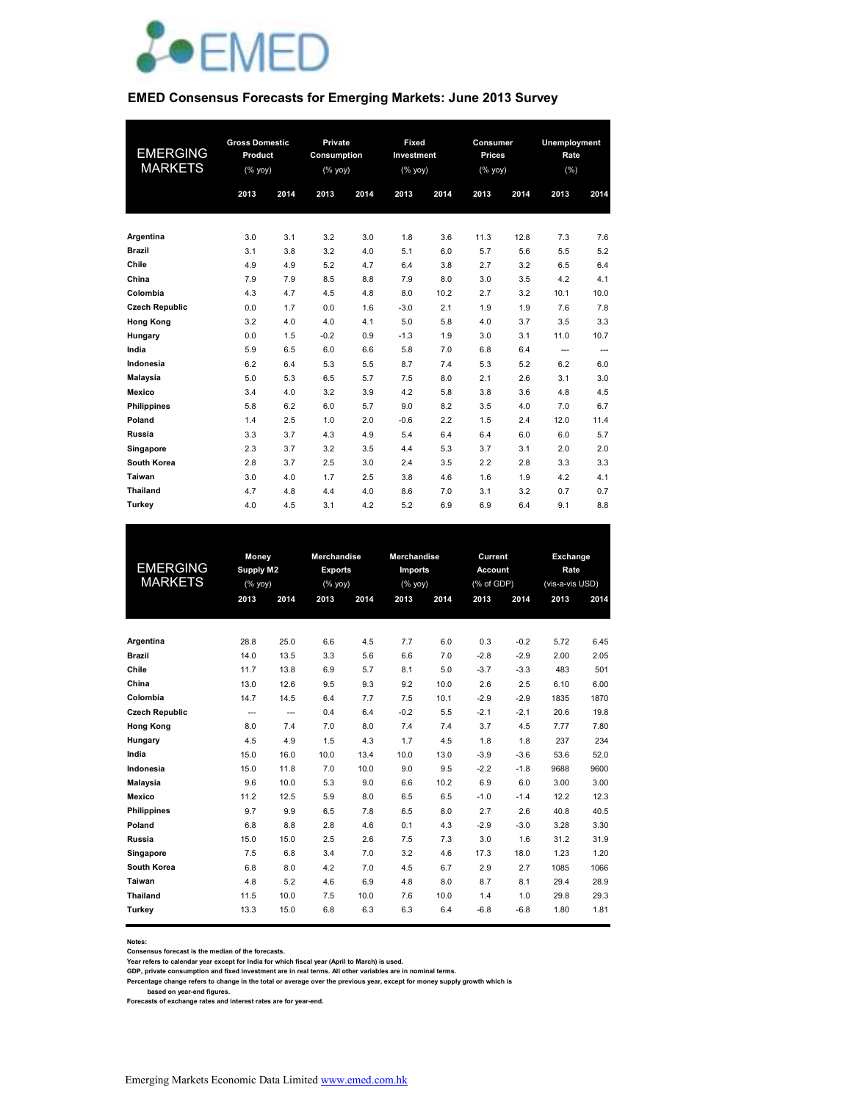

#### **EMED Consensus Forecasts for Emerging Markets: June 2013 Survey**

| <b>EMERGING</b><br><b>MARKETS</b> | <b>Gross Domestic</b><br>Product<br>$(% \mathsf{Y}\rightarrow \mathsf{Y})$ |      | Private<br>Consumption<br>(% уоу) |      | Fixed<br>Investment<br>(% yoy) |      | Consumer<br>Prices<br>(% yoy) |      | Unemployment<br>Rate<br>(% ) |       |
|-----------------------------------|----------------------------------------------------------------------------|------|-----------------------------------|------|--------------------------------|------|-------------------------------|------|------------------------------|-------|
|                                   | 2013                                                                       | 2014 | 2013                              | 2014 | 2013                           | 2014 | 2013                          | 2014 | 2013                         | 2014  |
| Argentina                         | 3.0                                                                        | 3.1  | 3.2                               | 3.0  | 1.8                            | 3.6  | 11.3                          | 12.8 | 7.3                          | 7.6   |
| <b>Brazil</b>                     | 3.1                                                                        | 3.8  | 3.2                               | 4.0  | 5.1                            | 6.0  | 5.7                           | 5.6  | 5.5                          | 5.2   |
| Chile                             | 4.9                                                                        | 4.9  | 5.2                               | 4.7  | 6.4                            | 3.8  | 2.7                           | 3.2  | 6.5                          | 6.4   |
| China                             | 7.9                                                                        | 7.9  | 8.5                               | 8.8  | 7.9                            | 8.0  | 3.0                           | 3.5  | 4.2                          | 4.1   |
| Colombia                          | 4.3                                                                        | 4.7  | 4.5                               | 4.8  | 8.0                            | 10.2 | 2.7                           | 3.2  | 10.1                         | 10.0  |
| <b>Czech Republic</b>             | 0.0                                                                        | 1.7  | 0.0                               | 1.6  | $-3.0$                         | 2.1  | 1.9                           | 1.9  | 7.6                          | 7.8   |
| <b>Hong Kong</b>                  | 3.2                                                                        | 4.0  | 4.0                               | 4.1  | 5.0                            | 5.8  | 4.0                           | 3.7  | 3.5                          | 3.3   |
| Hungary                           | 0.0                                                                        | 1.5  | $-0.2$                            | 0.9  | $-1.3$                         | 1.9  | 3.0                           | 3.1  | 11.0                         | 10.7  |
| India                             | 5.9                                                                        | 6.5  | 6.0                               | 6.6  | 5.8                            | 7.0  | 6.8                           | 6.4  | $---$                        | $---$ |
| Indonesia                         | 6.2                                                                        | 6.4  | 5.3                               | 5.5  | 8.7                            | 7.4  | 5.3                           | 5.2  | 6.2                          | 6.0   |
| <b>Malaysia</b>                   | 5.0                                                                        | 5.3  | 6.5                               | 5.7  | 7.5                            | 8.0  | 2.1                           | 2.6  | 3.1                          | 3.0   |
| <b>Mexico</b>                     | 3.4                                                                        | 4.0  | 3.2                               | 3.9  | 4.2                            | 5.8  | 3.8                           | 3.6  | 4.8                          | 4.5   |
| <b>Philippines</b>                | 5.8                                                                        | 6.2  | 6.0                               | 5.7  | 9.0                            | 8.2  | 3.5                           | 4.0  | 7.0                          | 6.7   |
| Poland                            | 1.4                                                                        | 2.5  | 1.0                               | 2.0  | $-0.6$                         | 2.2  | 1.5                           | 2.4  | 12.0                         | 11.4  |
| Russia                            | 3.3                                                                        | 3.7  | 4.3                               | 4.9  | 5.4                            | 6.4  | 6.4                           | 6.0  | 6.0                          | 5.7   |
| Singapore                         | 2.3                                                                        | 3.7  | 3.2                               | 3.5  | 4.4                            | 5.3  | 3.7                           | 3.1  | 2.0                          | 2.0   |
| South Korea                       | 2.8                                                                        | 3.7  | 2.5                               | 3.0  | 2.4                            | 3.5  | 2.2                           | 2.8  | 3.3                          | 3.3   |
| Taiwan                            | 3.0                                                                        | 4.0  | 1.7                               | 2.5  | 3.8                            | 4.6  | 1.6                           | 1.9  | 4.2                          | 4.1   |
| <b>Thailand</b>                   | 4.7                                                                        | 4.8  | 4.4                               | 4.0  | 8.6                            | 7.0  | 3.1                           | 3.2  | 0.7                          | 0.7   |
| Turkey                            | 4.0                                                                        | 4.5  | 3.1                               | 4.2  | 5.2                            | 6.9  | 6.9                           | 6.4  | 9.1                          | 8.8   |

|                       | Money     |                | <b>Merchandise</b> |      | <b>Merchandise</b> |      | Current        |        | Exchange        |      |
|-----------------------|-----------|----------------|--------------------|------|--------------------|------|----------------|--------|-----------------|------|
| EMERGING              | Supply M2 |                | <b>Exports</b>     |      | <b>Imports</b>     |      | <b>Account</b> |        | Rate            |      |
| <b>MARKETS</b>        |           | (%             |                    | (%   | $(%$ (% yoy)       |      | (% of GDP)     |        | (vis-a-vis USD) |      |
|                       | 2013      | 2014           | 2013               | 2014 | 2013               | 2014 | 2013           | 2014   | 2013            | 2014 |
|                       |           |                |                    |      |                    |      |                |        |                 |      |
|                       |           |                |                    |      |                    |      |                |        |                 |      |
| Argentina             | 28.8      | 25.0           | 6.6                | 4.5  | 7.7                | 6.0  | 0.3            | $-0.2$ | 5.72            | 6.45 |
| <b>Brazil</b>         | 14.0      | 13.5           | 3.3                | 5.6  | 6.6                | 7.0  | $-2.8$         | $-2.9$ | 2.00            | 2.05 |
| Chile                 | 11.7      | 13.8           | 6.9                | 5.7  | 8.1                | 5.0  | $-3.7$         | $-3.3$ | 483             | 501  |
| China                 | 13.0      | 12.6           | 9.5                | 9.3  | 9.2                | 10.0 | 2.6            | 2.5    | 6.10            | 6.00 |
| Colombia              | 14.7      | 14.5           | 6.4                | 7.7  | 7.5                | 10.1 | $-2.9$         | $-2.9$ | 1835            | 1870 |
| <b>Czech Republic</b> | ---       | $\overline{a}$ | 0.4                | 6.4  | $-0.2$             | 5.5  | $-2.1$         | $-2.1$ | 20.6            | 19.8 |
| <b>Hong Kong</b>      | 8.0       | 7.4            | 7.0                | 8.0  | 7.4                | 7.4  | 3.7            | 4.5    | 7.77            | 7.80 |
| Hungary               | 4.5       | 4.9            | 1.5                | 4.3  | 1.7                | 4.5  | 1.8            | 1.8    | 237             | 234  |
| India                 | 15.0      | 16.0           | 10.0               | 13.4 | 10.0               | 13.0 | $-3.9$         | $-3.6$ | 53.6            | 52.0 |
| Indonesia             | 15.0      | 11.8           | 7.0                | 10.0 | 9.0                | 9.5  | $-2.2$         | $-1.8$ | 9688            | 9600 |
| <b>Malaysia</b>       | 9.6       | 10.0           | 5.3                | 9.0  | 6.6                | 10.2 | 6.9            | 6.0    | 3.00            | 3.00 |
| <b>Mexico</b>         | 11.2      | 12.5           | 5.9                | 8.0  | 6.5                | 6.5  | $-1.0$         | $-1.4$ | 12.2            | 12.3 |
| <b>Philippines</b>    | 9.7       | 9.9            | 6.5                | 7.8  | 6.5                | 8.0  | 2.7            | 2.6    | 40.8            | 40.5 |
| Poland                | 6.8       | 8.8            | 2.8                | 4.6  | 0.1                | 4.3  | $-2.9$         | $-3.0$ | 3.28            | 3.30 |
| <b>Russia</b>         | 15.0      | 15.0           | 2.5                | 2.6  | 7.5                | 7.3  | 3.0            | 1.6    | 31.2            | 31.9 |
| Singapore             | 7.5       | 6.8            | 3.4                | 7.0  | 3.2                | 4.6  | 17.3           | 18.0   | 1.23            | 1.20 |
| <b>South Korea</b>    | 6.8       | 8.0            | 4.2                | 7.0  | 4.5                | 6.7  | 2.9            | 2.7    | 1085            | 1066 |
| Taiwan                | 4.8       | 5.2            | 4.6                | 6.9  | 4.8                | 8.0  | 8.7            | 8.1    | 29.4            | 28.9 |
| <b>Thailand</b>       | 11.5      | 10.0           | 7.5                | 10.0 | 7.6                | 10.0 | 1.4            | 1.0    | 29.8            | 29.3 |
| Turkey                | 13.3      | 15.0           | 6.8                | 6.3  | 6.3                | 6.4  | $-6.8$         | $-6.8$ | 1.80            | 1.81 |
|                       |           |                |                    |      |                    |      |                |        |                 |      |

#### **Notes:**

**Consensus forecast is the median of the forecasts.**

**Year refers to calendar year except for India for which fiscal year (April to March) is used. GDP, private consumption and fixed investment are in real terms. All other variables are in nominal terms.**

Percentage change refers to change in the total or average over the previous year, except for money supply growth which is<br>based on year-end figures.<br>Forecasts of exchange rates and interest rates are for year-end.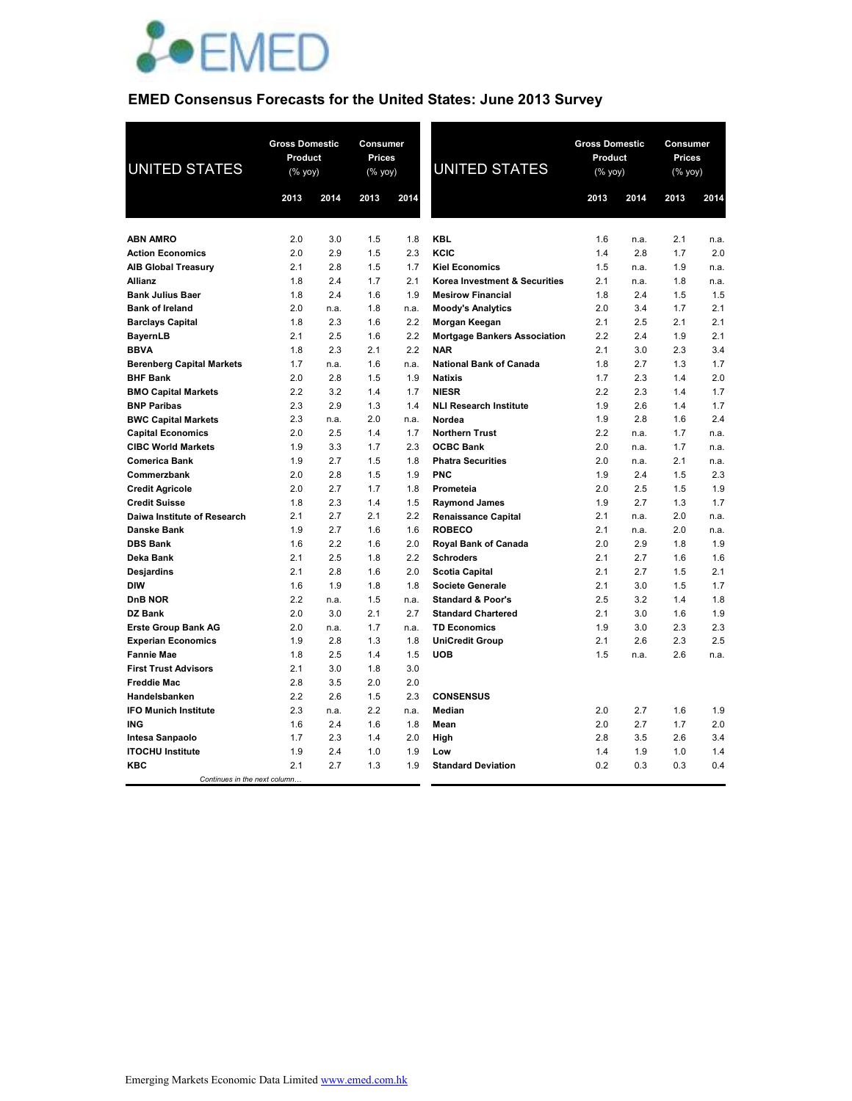

### **EMED Consensus Forecasts for the United States: June 2013 Survey**

| <b>UNITED STATES</b>                              | <b>Gross Domestic</b><br>Product<br>(% yoy) |            | Consumer<br><b>Prices</b><br>(% yoy) |            | <b>UNITED STATES</b>                                      | <b>Gross Domestic</b><br>Product<br>$(\%$ yoy) |             | Consumer<br>Prices<br>(% |             |
|---------------------------------------------------|---------------------------------------------|------------|--------------------------------------|------------|-----------------------------------------------------------|------------------------------------------------|-------------|--------------------------|-------------|
|                                                   | 2013                                        | 2014       | 2013                                 | 2014       |                                                           | 2013                                           | 2014        | 2013                     | 2014        |
|                                                   |                                             |            |                                      |            |                                                           |                                                |             |                          |             |
| <b>ABN AMRO</b>                                   | 2.0                                         | 3.0        | 1.5                                  | 1.8        | <b>KBL</b>                                                | 1.6                                            | n.a.        | 2.1                      | n.a.        |
| <b>Action Economics</b>                           | 2.0                                         | 2.9        | 1.5                                  | 2.3        | KCIC                                                      | 1.4                                            | 2.8         | 1.7                      | 2.0         |
| <b>AIB Global Treasury</b>                        | 2.1                                         | 2.8        | 1.5                                  | 1.7        | <b>Kiel Economics</b>                                     | 1.5                                            | n.a.        | 1.9                      | n.a.        |
| Allianz                                           | 1.8<br>1.8                                  | 2.4<br>2.4 | 1.7<br>1.6                           | 2.1<br>1.9 | Korea Investment & Securities<br><b>Mesirow Financial</b> | 2.1<br>1.8                                     | n.a.<br>2.4 | 1.8<br>1.5               | n.a.<br>1.5 |
| <b>Bank Julius Baer</b><br><b>Bank of Ireland</b> | 2.0                                         | n.a.       | 1.8                                  | n.a.       | <b>Moody's Analytics</b>                                  | 2.0                                            | 3.4         | 1.7                      | 2.1         |
| <b>Barclays Capital</b>                           | 1.8                                         | 2.3        | 1.6                                  | 2.2        | Morgan Keegan                                             | 2.1                                            | 2.5         | 2.1                      | 2.1         |
| <b>BayernLB</b>                                   | 2.1                                         | 2.5        | 1.6                                  | 2.2        | <b>Mortgage Bankers Association</b>                       | 2.2                                            | 2.4         | 1.9                      | 2.1         |
| <b>BBVA</b>                                       | 1.8                                         | 2.3        | 2.1                                  | 2.2        | <b>NAR</b>                                                | 2.1                                            | 3.0         | 2.3                      | 3.4         |
| <b>Berenberg Capital Markets</b>                  | 1.7                                         | n.a.       | 1.6                                  | n.a.       | <b>National Bank of Canada</b>                            | 1.8                                            | 2.7         | 1.3                      | 1.7         |
| <b>BHF Bank</b>                                   | 2.0                                         | 2.8        | 1.5                                  | 1.9        | <b>Natixis</b>                                            | 1.7                                            | 2.3         | 1.4                      | 2.0         |
| <b>BMO Capital Markets</b>                        | 2.2                                         | 3.2        | 1.4                                  | 1.7        | <b>NIESR</b>                                              | 2.2                                            | 2.3         | 1.4                      | 1.7         |
| <b>BNP Paribas</b>                                | 2.3                                         | 2.9        | 1.3                                  | 1.4        | <b>NLI Research Institute</b>                             | 1.9                                            | 2.6         | 1.4                      | 1.7         |
| <b>BWC Capital Markets</b>                        | 2.3                                         | n.a.       | 2.0                                  | n.a.       | Nordea                                                    | 1.9                                            | 2.8         | 1.6                      | 2.4         |
| <b>Capital Economics</b>                          | 2.0                                         | 2.5        | 1.4                                  | 1.7        | <b>Northern Trust</b>                                     | 2.2                                            | n.a.        | 1.7                      | n.a.        |
| <b>CIBC World Markets</b>                         | 1.9                                         | 3.3        | 1.7                                  | 2.3        | <b>OCBC Bank</b>                                          | 2.0                                            | n.a.        | 1.7                      | n.a.        |
| <b>Comerica Bank</b>                              | 1.9                                         | 2.7        | 1.5                                  | 1.8        | <b>Phatra Securities</b>                                  | 2.0                                            | n.a.        | 2.1                      | n.a.        |
| Commerzbank                                       | 2.0                                         | 2.8        | 1.5                                  | 1.9        | <b>PNC</b>                                                | 1.9                                            | 2.4         | 1.5                      | 2.3         |
| <b>Credit Agricole</b>                            | 2.0                                         | 2.7        | 1.7                                  | 1.8        | Prometeia                                                 | 2.0                                            | 2.5         | 1.5                      | 1.9         |
| <b>Credit Suisse</b>                              | 1.8                                         | 2.3        | 1.4                                  | 1.5        | <b>Raymond James</b>                                      | 1.9                                            | 2.7         | 1.3                      | 1.7         |
| Daiwa Institute of Research                       | 2.1                                         | 2.7        | 2.1                                  | 2.2        | <b>Renaissance Capital</b>                                | 2.1                                            | n.a.        | 2.0                      | n.a.        |
| Danske Bank                                       | 1.9                                         | 2.7        | 1.6                                  | 1.6        | <b>ROBECO</b>                                             | 2.1                                            | n.a.        | 2.0                      | n.a.        |
| <b>DBS Bank</b>                                   | 1.6                                         | 2.2        | 1.6                                  | 2.0        | <b>Royal Bank of Canada</b>                               | 2.0                                            | 2.9         | 1.8                      | 1.9         |
| Deka Bank                                         | 2.1<br>2.1                                  | 2.5<br>2.8 | 1.8                                  | 2.2<br>2.0 | <b>Schroders</b>                                          | 2.1<br>2.1                                     | 2.7<br>2.7  | 1.6                      | 1.6<br>2.1  |
| Desjardins<br><b>DIW</b>                          | 1.6                                         | 1.9        | 1.6<br>1.8                           | 1.8        | <b>Scotia Capital</b><br><b>Societe Generale</b>          | 2.1                                            | 3.0         | 1.5<br>1.5               | 1.7         |
| DnB NOR                                           | 2.2                                         | n.a.       | 1.5                                  | n.a.       | <b>Standard &amp; Poor's</b>                              | 2.5                                            | 3.2         | 1.4                      | 1.8         |
| DZ Bank                                           | 2.0                                         | 3.0        | 2.1                                  | 2.7        | <b>Standard Chartered</b>                                 | 2.1                                            | 3.0         | 1.6                      | 1.9         |
| <b>Erste Group Bank AG</b>                        | 2.0                                         | n.a.       | 1.7                                  | n.a.       | <b>TD Economics</b>                                       | 1.9                                            | 3.0         | 2.3                      | 2.3         |
| <b>Experian Economics</b>                         | 1.9                                         | 2.8        | 1.3                                  | 1.8        | <b>UniCredit Group</b>                                    | 2.1                                            | 2.6         | 2.3                      | 2.5         |
| <b>Fannie Mae</b>                                 | 1.8                                         | 2.5        | 1.4                                  | 1.5        | <b>UOB</b>                                                | 1.5                                            | n.a.        | 2.6                      | n.a.        |
| <b>First Trust Advisors</b>                       | 2.1                                         | 3.0        | 1.8                                  | 3.0        |                                                           |                                                |             |                          |             |
| <b>Freddie Mac</b>                                | 2.8                                         | 3.5        | 2.0                                  | 2.0        |                                                           |                                                |             |                          |             |
| Handelsbanken                                     | 2.2                                         | 2.6        | 1.5                                  | 2.3        | <b>CONSENSUS</b>                                          |                                                |             |                          |             |
| <b>IFO Munich Institute</b>                       | 2.3                                         | n.a.       | 2.2                                  | n.a.       | <b>Median</b>                                             | 2.0                                            | 2.7         | 1.6                      | 1.9         |
| ING                                               | 1.6                                         | 2.4        | 1.6                                  | 1.8        | Mean                                                      | 2.0                                            | 2.7         | 1.7                      | 2.0         |
| Intesa Sanpaolo                                   | 1.7                                         | 2.3        | 1.4                                  | 2.0        | High                                                      | 2.8                                            | 3.5         | 2.6                      | 3.4         |
| <b>ITOCHU Institute</b>                           | 1.9                                         | 2.4        | 1.0                                  | 1.9        | Low                                                       | 1.4                                            | 1.9         | 1.0                      | 1.4         |
| <b>KBC</b>                                        | 2.1                                         | 2.7        | 1.3                                  | 1.9        | <b>Standard Deviation</b>                                 | 0.2                                            | 0.3         | 0.3                      | 0.4         |
| Continues in the next column                      |                                             |            |                                      |            |                                                           |                                                |             |                          |             |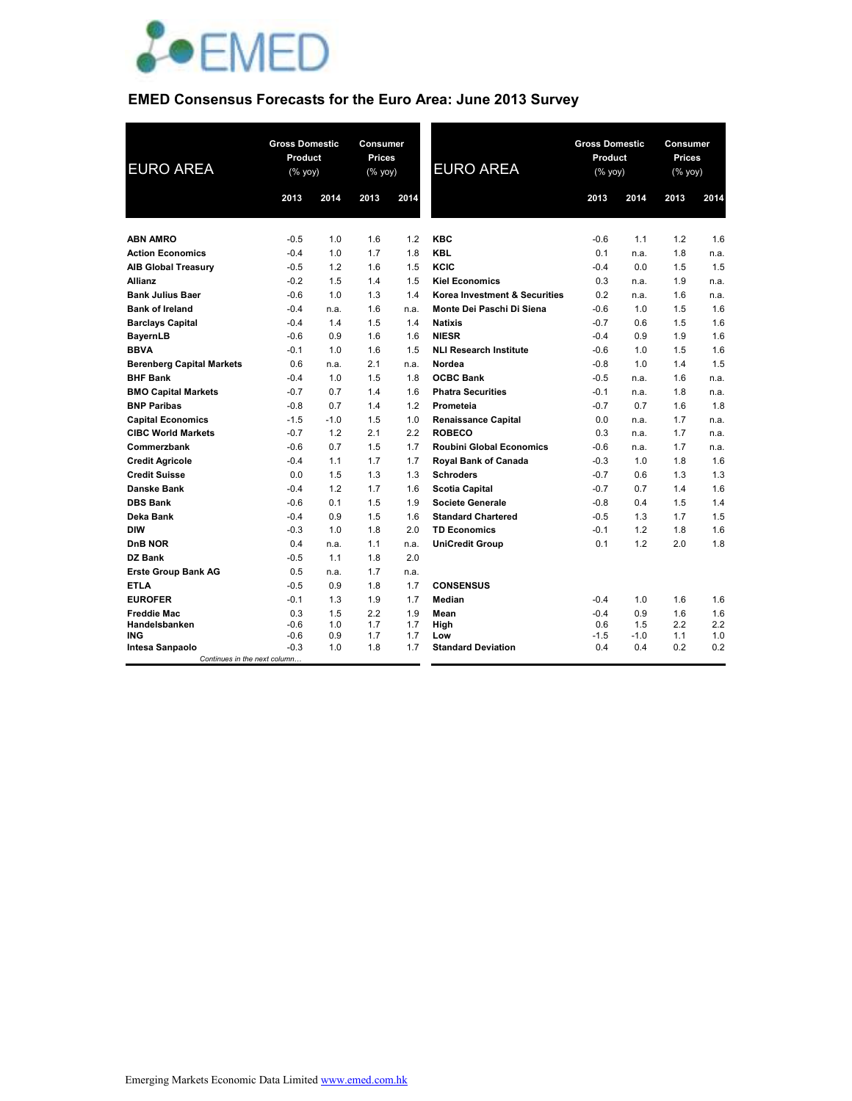

## **EMED Consensus Forecasts for the Euro Area: June 2013 Survey**

| <b>EURO AREA</b>                                       | <b>Gross Domestic</b><br>Product<br>$(\%$ yoy) |        | Consumer<br><b>Prices</b><br>(% yoy) | 2014 | <b>EURO AREA</b>                | <b>Gross Domestic</b><br>Product<br>$(\%$ yoy) | 2014   | <b>Consumer</b><br><b>Prices</b><br>(% yoy) | 2014 |
|--------------------------------------------------------|------------------------------------------------|--------|--------------------------------------|------|---------------------------------|------------------------------------------------|--------|---------------------------------------------|------|
|                                                        | 2013                                           | 2014   | 2013                                 |      |                                 | 2013                                           |        | 2013                                        |      |
|                                                        |                                                |        |                                      |      |                                 |                                                |        |                                             |      |
| <b>ABN AMRO</b>                                        | $-0.5$                                         | 1.0    | 1.6                                  | 1.2  | <b>KBC</b>                      | $-0.6$                                         | 1.1    | 1.2                                         | 1.6  |
| <b>Action Economics</b>                                | $-0.4$                                         | 1.0    | 1.7                                  | 1.8  | <b>KBL</b>                      | 0.1                                            | n.a.   | 1.8                                         | n.a. |
| <b>AIB Global Treasury</b>                             | $-0.5$                                         | 1.2    | 1.6                                  | 1.5  | KCIC                            | $-0.4$                                         | 0.0    | 1.5                                         | 1.5  |
| <b>Allianz</b>                                         | $-0.2$                                         | 1.5    | 1.4                                  | 1.5  | <b>Kiel Economics</b>           | 0.3                                            | n.a.   | 1.9                                         | n.a. |
| <b>Bank Julius Baer</b>                                | $-0.6$                                         | 1.0    | 1.3                                  | 1.4  | Korea Investment & Securities   | 0.2                                            | n.a.   | 1.6                                         | n.a. |
| <b>Bank of Ireland</b>                                 | $-0.4$                                         | n.a.   | 1.6                                  | n.a. | Monte Dei Paschi Di Siena       | $-0.6$                                         | 1.0    | 1.5                                         | 1.6  |
| <b>Barclays Capital</b>                                | $-0.4$                                         | 1.4    | 1.5                                  | 1.4  | <b>Natixis</b>                  | $-0.7$                                         | 0.6    | 1.5                                         | 1.6  |
| <b>BayernLB</b>                                        | $-0.6$                                         | 0.9    | 1.6                                  | 1.6  | <b>NIESR</b>                    | $-0.4$                                         | 0.9    | 1.9                                         | 1.6  |
| <b>BBVA</b>                                            | $-0.1$                                         | 1.0    | 1.6                                  | 1.5  | <b>NLI Research Institute</b>   | $-0.6$                                         | 1.0    | 1.5                                         | 1.6  |
| <b>Berenberg Capital Markets</b>                       | 0.6                                            | n.a.   | 2.1                                  | n.a. | Nordea                          | $-0.8$                                         | 1.0    | 1.4                                         | 1.5  |
| <b>BHF Bank</b>                                        | $-0.4$                                         | 1.0    | 1.5                                  | 1.8  | <b>OCBC Bank</b>                | $-0.5$                                         | n.a.   | 1.6                                         | n.a. |
| <b>BMO Capital Markets</b>                             | $-0.7$                                         | 0.7    | 1.4                                  | 1.6  | <b>Phatra Securities</b>        | $-0.1$                                         | n.a.   | 1.8                                         | n.a. |
| <b>BNP Paribas</b>                                     | $-0.8$                                         | 0.7    | 1.4                                  | 1.2  | Prometeia                       | $-0.7$                                         | 0.7    | 1.6                                         | 1.8  |
| <b>Capital Economics</b>                               | $-1.5$                                         | $-1.0$ | 1.5                                  | 1.0  | <b>Renaissance Capital</b>      | 0.0                                            | n.a.   | 1.7                                         | n.a. |
| <b>CIBC World Markets</b>                              | $-0.7$                                         | 1.2    | 2.1                                  | 2.2  | <b>ROBECO</b>                   | 0.3                                            | n.a.   | 1.7                                         | n.a. |
| Commerzbank                                            | $-0.6$                                         | 0.7    | 1.5                                  | 1.7  | <b>Roubini Global Economics</b> | $-0.6$                                         | n.a.   | 1.7                                         | n.a. |
| <b>Credit Agricole</b>                                 | $-0.4$                                         | 1.1    | 1.7                                  | 1.7  | <b>Roval Bank of Canada</b>     | $-0.3$                                         | 1.0    | 1.8                                         | 1.6  |
| <b>Credit Suisse</b>                                   | 0.0                                            | 1.5    | 1.3                                  | 1.3  | <b>Schroders</b>                | $-0.7$                                         | 0.6    | 1.3                                         | 1.3  |
| Danske Bank                                            | $-0.4$                                         | 1.2    | 1.7                                  | 1.6  | <b>Scotia Capital</b>           | $-0.7$                                         | 0.7    | 1.4                                         | 1.6  |
| <b>DBS Bank</b>                                        | $-0.6$                                         | 0.1    | 1.5                                  | 1.9  | <b>Societe Generale</b>         | $-0.8$                                         | 0.4    | 1.5                                         | 1.4  |
| Deka Bank                                              | $-0.4$                                         | 0.9    | 1.5                                  | 1.6  | <b>Standard Chartered</b>       | $-0.5$                                         | 1.3    | 1.7                                         | 1.5  |
| <b>DIW</b>                                             | $-0.3$                                         | 1.0    | 1.8                                  | 2.0  | <b>TD Economics</b>             | $-0.1$                                         | 1.2    | 1.8                                         | 1.6  |
| DnB NOR                                                | 0.4                                            | n.a.   | 1.1                                  | n.a. | <b>UniCredit Group</b>          | 0.1                                            | 1.2    | 2.0                                         | 1.8  |
| DZ Bank                                                | $-0.5$                                         | 1.1    | 1.8                                  | 2.0  |                                 |                                                |        |                                             |      |
| <b>Erste Group Bank AG</b>                             | 0.5                                            | n.a.   | 1.7                                  | n.a. |                                 |                                                |        |                                             |      |
| <b>ETLA</b>                                            | $-0.5$                                         | 0.9    | 1.8                                  | 1.7  | <b>CONSENSUS</b>                |                                                |        |                                             |      |
| <b>EUROFER</b>                                         | $-0.1$                                         | 1.3    | 1.9                                  | 1.7  | <b>Median</b>                   | $-0.4$                                         | 1.0    | 1.6                                         | 1.6  |
| <b>Freddie Mac</b>                                     | 0.3                                            | 1.5    | 2.2                                  | 1.9  | Mean                            | $-0.4$                                         | 0.9    | 1.6                                         | 1.6  |
| Handelsbanken                                          | $-0.6$                                         | 1.0    | 1.7                                  | 1.7  | High                            | 0.6                                            | 1.5    | 2.2                                         | 2.2  |
| <b>ING</b>                                             | $-0.6$                                         | 0.9    | 1.7                                  | 1.7  | Low                             | $-1.5$                                         | $-1.0$ | 1.1                                         | 1.0  |
| <b>Intesa Sanpaolo</b><br>Continues in the next column | $-0.3$                                         | 1.0    | 1.8                                  | 1.7  | <b>Standard Deviation</b>       | 0.4                                            | 0.4    | 0.2                                         | 0.2  |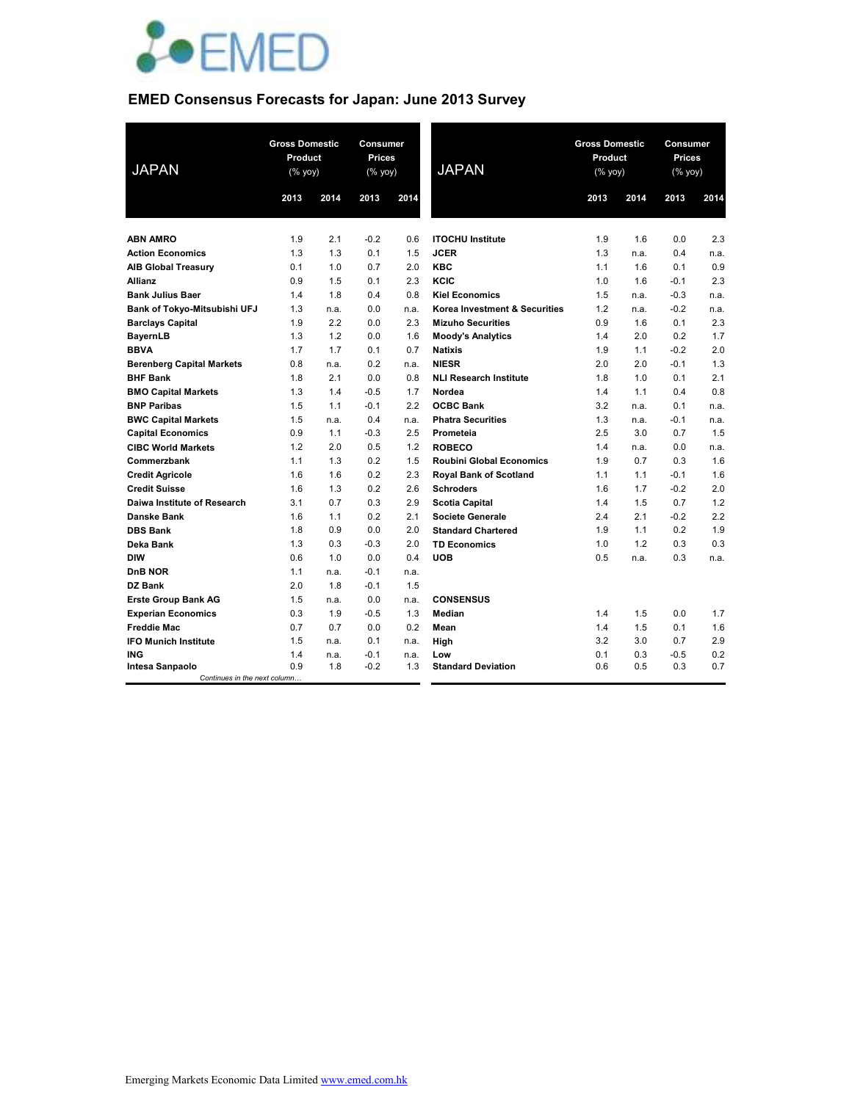

### **EMED Consensus Forecasts for Japan: June 2013 Survey**

| <b>JAPAN</b>                     | <b>Gross Domestic</b><br>Product<br>(% yoy) |      | Consumer<br><b>Prices</b><br>$(% \mathsf{Y}^{\prime }\mathsf{Y}^{\prime }\mathsf{Y}^{\prime })$ |      | <b>JAPAN</b>                    | <b>Gross Domestic</b><br>Product<br>(% yoy) |      | Consumer<br><b>Prices</b><br>$(% \mathsf{Y}^{\prime }\mathsf{Y}^{\prime }\mathsf{Y}^{\prime })$ |      |
|----------------------------------|---------------------------------------------|------|-------------------------------------------------------------------------------------------------|------|---------------------------------|---------------------------------------------|------|-------------------------------------------------------------------------------------------------|------|
|                                  | 2013                                        | 2014 | 2013                                                                                            | 2014 |                                 | 2013                                        | 2014 | 2013                                                                                            | 2014 |
|                                  |                                             |      |                                                                                                 |      |                                 |                                             |      |                                                                                                 |      |
| <b>ABN AMRO</b>                  | 1.9                                         | 2.1  | $-0.2$                                                                                          | 0.6  | <b>ITOCHU Institute</b>         | 1.9                                         | 1.6  | 0.0                                                                                             | 2.3  |
| <b>Action Economics</b>          | 1.3                                         | 1.3  | 0.1                                                                                             | 1.5  | <b>JCER</b>                     | 1.3                                         | n.a. | 0.4                                                                                             | n.a. |
| <b>AIB Global Treasury</b>       | 0.1                                         | 1.0  | 0.7                                                                                             | 2.0  | <b>KBC</b>                      | 1.1                                         | 1.6  | 0.1                                                                                             | 0.9  |
| <b>Allianz</b>                   | 0.9                                         | 1.5  | 0.1                                                                                             | 2.3  | KCIC                            | 1.0                                         | 1.6  | $-0.1$                                                                                          | 2.3  |
| <b>Bank Julius Baer</b>          | 1.4                                         | 1.8  | 0.4                                                                                             | 0.8  | <b>Kiel Economics</b>           | 1.5                                         | n.a. | $-0.3$                                                                                          | n.a. |
| Bank of Tokyo-Mitsubishi UFJ     | 1.3                                         | n.a. | 0.0                                                                                             | n.a. | Korea Investment & Securities   | 1.2                                         | n.a. | $-0.2$                                                                                          | n.a. |
| <b>Barclays Capital</b>          | 1.9                                         | 2.2  | 0.0                                                                                             | 2.3  | <b>Mizuho Securities</b>        | 0.9                                         | 1.6  | 0.1                                                                                             | 2.3  |
| <b>BayernLB</b>                  | 1.3                                         | 1.2  | 0.0                                                                                             | 1.6  | <b>Moody's Analytics</b>        | 1.4                                         | 2.0  | 0.2                                                                                             | 1.7  |
| <b>BBVA</b>                      | 1.7                                         | 1.7  | 0.1                                                                                             | 0.7  | <b>Natixis</b>                  | 1.9                                         | 1.1  | $-0.2$                                                                                          | 2.0  |
| <b>Berenberg Capital Markets</b> | 0.8                                         | n.a. | 0.2                                                                                             | n.a. | <b>NIESR</b>                    | 2.0                                         | 2.0  | $-0.1$                                                                                          | 1.3  |
| <b>BHF Bank</b>                  | 1.8                                         | 2.1  | 0.0                                                                                             | 0.8  | <b>NLI Research Institute</b>   | 1.8                                         | 1.0  | 0.1                                                                                             | 2.1  |
| <b>BMO Capital Markets</b>       | 1.3                                         | 1.4  | $-0.5$                                                                                          | 1.7  | Nordea                          | 1.4                                         | 1.1  | 0.4                                                                                             | 0.8  |
| <b>BNP Paribas</b>               | 1.5                                         | 1.1  | $-0.1$                                                                                          | 2.2  | <b>OCBC Bank</b>                | 3.2                                         | n.a. | 0.1                                                                                             | n.a. |
| <b>BWC Capital Markets</b>       | 1.5                                         | n.a. | 0.4                                                                                             | n.a. | <b>Phatra Securities</b>        | 1.3                                         | n.a. | $-0.1$                                                                                          | n.a. |
| <b>Capital Economics</b>         | 0.9                                         | 1.1  | $-0.3$                                                                                          | 2.5  | Prometeia                       | 2.5                                         | 3.0  | 0.7                                                                                             | 1.5  |
| <b>CIBC World Markets</b>        | 1.2                                         | 2.0  | 0.5                                                                                             | 1.2  | <b>ROBECO</b>                   | 1.4                                         | n.a. | 0.0                                                                                             | n.a. |
| Commerzbank                      | 1.1                                         | 1.3  | 0.2                                                                                             | 1.5  | <b>Roubini Global Economics</b> | 1.9                                         | 0.7  | 0.3                                                                                             | 1.6  |
| <b>Credit Agricole</b>           | 1.6                                         | 1.6  | 0.2                                                                                             | 2.3  | <b>Royal Bank of Scotland</b>   | 1.1                                         | 1.1  | $-0.1$                                                                                          | 1.6  |
| <b>Credit Suisse</b>             | 1.6                                         | 1.3  | 0.2                                                                                             | 2.6  | <b>Schroders</b>                | 1.6                                         | 1.7  | $-0.2$                                                                                          | 2.0  |
| Daiwa Institute of Research      | 3.1                                         | 0.7  | 0.3                                                                                             | 2.9  | <b>Scotia Capital</b>           | 1.4                                         | 1.5  | 0.7                                                                                             | 1.2  |
| <b>Danske Bank</b>               | 1.6                                         | 1.1  | 0.2                                                                                             | 2.1  | <b>Societe Generale</b>         | 2.4                                         | 2.1  | $-0.2$                                                                                          | 2.2  |
| <b>DBS Bank</b>                  | 1.8                                         | 0.9  | 0.0                                                                                             | 2.0  | <b>Standard Chartered</b>       | 1.9                                         | 1.1  | 0.2                                                                                             | 1.9  |
| Deka Bank                        | 1.3                                         | 0.3  | $-0.3$                                                                                          | 2.0  | <b>TD Economics</b>             | 1.0                                         | 1.2  | 0.3                                                                                             | 0.3  |
| <b>DIW</b>                       | 0.6                                         | 1.0  | 0.0                                                                                             | 0.4  | <b>UOB</b>                      | 0.5                                         | n.a. | 0.3                                                                                             | n.a. |
| <b>DnB NOR</b>                   | 1.1                                         | n.a. | $-0.1$                                                                                          | n.a. |                                 |                                             |      |                                                                                                 |      |
| <b>DZ Bank</b>                   | 2.0                                         | 1.8  | $-0.1$                                                                                          | 1.5  |                                 |                                             |      |                                                                                                 |      |
| <b>Erste Group Bank AG</b>       | 1.5                                         | n.a. | 0.0                                                                                             | n.a. | <b>CONSENSUS</b>                |                                             |      |                                                                                                 |      |
| <b>Experian Economics</b>        | 0.3                                         | 1.9  | $-0.5$                                                                                          | 1.3  | <b>Median</b>                   | 1.4                                         | 1.5  | 0.0                                                                                             | 1.7  |
| <b>Freddie Mac</b>               | 0.7                                         | 0.7  | 0.0                                                                                             | 0.2  | Mean                            | 1.4                                         | 1.5  | 0.1                                                                                             | 1.6  |
| <b>IFO Munich Institute</b>      | 1.5                                         | n.a. | 0.1                                                                                             | n.a. | High                            | 3.2                                         | 3.0  | 0.7                                                                                             | 2.9  |
| <b>ING</b>                       | 1.4                                         | n.a. | $-0.1$                                                                                          | n.a. | Low                             | 0.1                                         | 0.3  | $-0.5$                                                                                          | 0.2  |
| <b>Intesa Sanpaolo</b>           | 0.9                                         | 1.8  | $-0.2$                                                                                          | 1.3  | <b>Standard Deviation</b>       | 0.6                                         | 0.5  | 0.3                                                                                             | 0.7  |
| Continues in the next column     |                                             |      |                                                                                                 |      |                                 |                                             |      |                                                                                                 |      |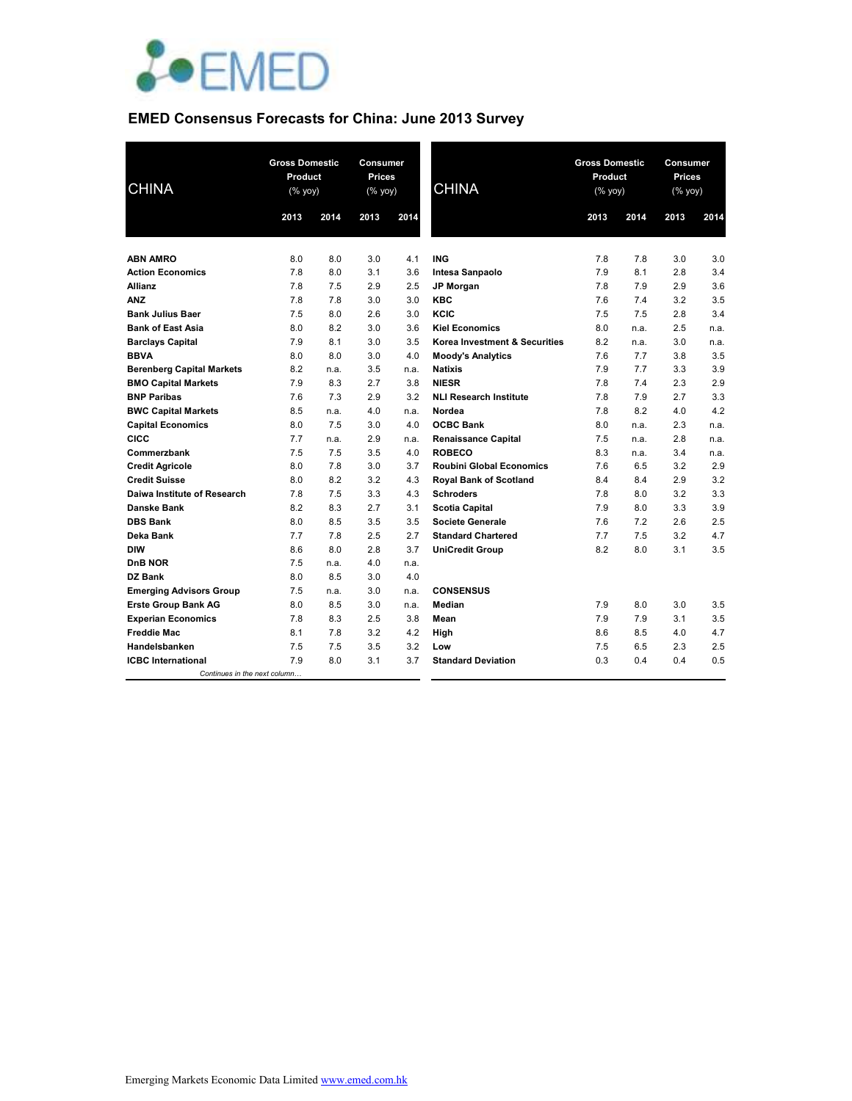

# **EMED Consensus Forecasts for China: June 2013 Survey**

| <b>CHINA</b>                     |      | <b>Gross Domestic</b><br>Product<br>$(% \mathsf{Y}^{\prime }\mathsf{Y}^{\prime }\mathsf{Y}^{\prime })$ |      | Consumer<br><b>Prices</b><br>(% yoy) | <b>CHINA</b>                    | <b>Gross Domestic</b><br>Product<br>(% yoy) |      | Consumer<br><b>Prices</b><br>(% yoy) |      |
|----------------------------------|------|--------------------------------------------------------------------------------------------------------|------|--------------------------------------|---------------------------------|---------------------------------------------|------|--------------------------------------|------|
|                                  | 2013 | 2014                                                                                                   | 2013 | 2014                                 |                                 | 2013                                        | 2014 | 2013                                 | 2014 |
| <b>ABN AMRO</b>                  | 8.0  | 8.0                                                                                                    | 3.0  | 4.1                                  | <b>ING</b>                      | 7.8                                         | 7.8  | 3.0                                  | 3.0  |
| <b>Action Economics</b>          | 7.8  | 8.0                                                                                                    | 3.1  | 3.6                                  | Intesa Sanpaolo                 | 7.9                                         | 8.1  | 2.8                                  | 3.4  |
| <b>Allianz</b>                   | 7.8  | 7.5                                                                                                    | 2.9  | 2.5                                  | <b>JP Morgan</b>                | 7.8                                         | 7.9  | 2.9                                  | 3.6  |
| <b>ANZ</b>                       | 7.8  | 7.8                                                                                                    | 3.0  | 3.0                                  | <b>KBC</b>                      | 7.6                                         | 7.4  | 3.2                                  | 3.5  |
| <b>Bank Julius Baer</b>          | 7.5  | 8.0                                                                                                    | 2.6  | 3.0                                  | KCIC                            | 7.5                                         | 7.5  | 2.8                                  | 3.4  |
| <b>Bank of East Asia</b>         | 8.0  | 8.2                                                                                                    | 3.0  | 3.6                                  | <b>Kiel Economics</b>           | 8.0                                         | n.a. | 2.5                                  | n.a. |
| <b>Barclays Capital</b>          | 7.9  | 8.1                                                                                                    | 3.0  | 3.5                                  | Korea Investment & Securities   | 8.2                                         | n.a. | 3.0                                  | n.a. |
| <b>BBVA</b>                      | 8.0  | 8.0                                                                                                    | 3.0  | 4.0                                  | <b>Moody's Analytics</b>        | 7.6                                         | 7.7  | 3.8                                  | 3.5  |
| <b>Berenberg Capital Markets</b> | 8.2  | n.a.                                                                                                   | 3.5  | n.a.                                 | <b>Natixis</b>                  | 7.9                                         | 7.7  | 3.3                                  | 3.9  |
| <b>BMO Capital Markets</b>       | 7.9  | 8.3                                                                                                    | 2.7  | 3.8                                  | <b>NIESR</b>                    | 7.8                                         | 7.4  | 2.3                                  | 2.9  |
| <b>BNP Paribas</b>               | 7.6  | 7.3                                                                                                    | 2.9  | 3.2                                  | <b>NLI Research Institute</b>   | 7.8                                         | 7.9  | 2.7                                  | 3.3  |
| <b>BWC Capital Markets</b>       | 8.5  | n.a.                                                                                                   | 4.0  | n.a.                                 | Nordea                          | 7.8                                         | 8.2  | 4.0                                  | 4.2  |
| <b>Capital Economics</b>         | 8.0  | 7.5                                                                                                    | 3.0  | 4.0                                  | <b>OCBC Bank</b>                | 8.0                                         | n.a. | 2.3                                  | n.a. |
| <b>CICC</b>                      | 7.7  | n.a.                                                                                                   | 2.9  | n.a.                                 | <b>Renaissance Capital</b>      | 7.5                                         | n.a. | 2.8                                  | n.a. |
| Commerzbank                      | 7.5  | 7.5                                                                                                    | 3.5  | 4.0                                  | <b>ROBECO</b>                   | 8.3                                         | n.a. | 3.4                                  | n.a. |
| <b>Credit Agricole</b>           | 8.0  | 7.8                                                                                                    | 3.0  | 3.7                                  | <b>Roubini Global Economics</b> | 7.6                                         | 6.5  | 3.2                                  | 2.9  |
| <b>Credit Suisse</b>             | 8.0  | 8.2                                                                                                    | 3.2  | 4.3                                  | <b>Royal Bank of Scotland</b>   | 8.4                                         | 8.4  | 2.9                                  | 3.2  |
| Daiwa Institute of Research      | 7.8  | 7.5                                                                                                    | 3.3  | 4.3                                  | <b>Schroders</b>                | 7.8                                         | 8.0  | 3.2                                  | 3.3  |
| Danske Bank                      | 8.2  | 8.3                                                                                                    | 2.7  | 3.1                                  | <b>Scotia Capital</b>           | 7.9                                         | 8.0  | 3.3                                  | 3.9  |
| <b>DBS Bank</b>                  | 8.0  | 8.5                                                                                                    | 3.5  | 3.5                                  | <b>Societe Generale</b>         | 7.6                                         | 7.2  | 2.6                                  | 2.5  |
| Deka Bank                        | 7.7  | 7.8                                                                                                    | 2.5  | 2.7                                  | <b>Standard Chartered</b>       | 7.7                                         | 7.5  | 3.2                                  | 4.7  |
| <b>DIW</b>                       | 8.6  | 8.0                                                                                                    | 2.8  | 3.7                                  | <b>UniCredit Group</b>          | 8.2                                         | 8.0  | 3.1                                  | 3.5  |
| DnB NOR                          | 7.5  | n.a.                                                                                                   | 4.0  | n.a.                                 |                                 |                                             |      |                                      |      |
| <b>DZ Bank</b>                   | 8.0  | 8.5                                                                                                    | 3.0  | 4.0                                  |                                 |                                             |      |                                      |      |
| <b>Emerging Advisors Group</b>   | 7.5  | n.a.                                                                                                   | 3.0  | n.a.                                 | <b>CONSENSUS</b>                |                                             |      |                                      |      |
| <b>Erste Group Bank AG</b>       | 8.0  | 8.5                                                                                                    | 3.0  | n.a.                                 | Median                          | 7.9                                         | 8.0  | 3.0                                  | 3.5  |
| <b>Experian Economics</b>        | 7.8  | 8.3                                                                                                    | 2.5  | 3.8                                  | Mean                            | 7.9                                         | 7.9  | 3.1                                  | 3.5  |
| <b>Freddie Mac</b>               | 8.1  | 7.8                                                                                                    | 3.2  | 4.2                                  | High                            | 8.6                                         | 8.5  | 4.0                                  | 4.7  |
| Handelsbanken                    | 7.5  | 7.5                                                                                                    | 3.5  | 3.2                                  | Low                             | 7.5                                         | 6.5  | 2.3                                  | 2.5  |
| <b>ICBC</b> International        | 7.9  | 8.0                                                                                                    | 3.1  | 3.7                                  | <b>Standard Deviation</b>       | 0.3                                         | 0.4  | 0.4                                  | 0.5  |
| Continues in the next column     |      |                                                                                                        |      |                                      |                                 |                                             |      |                                      |      |